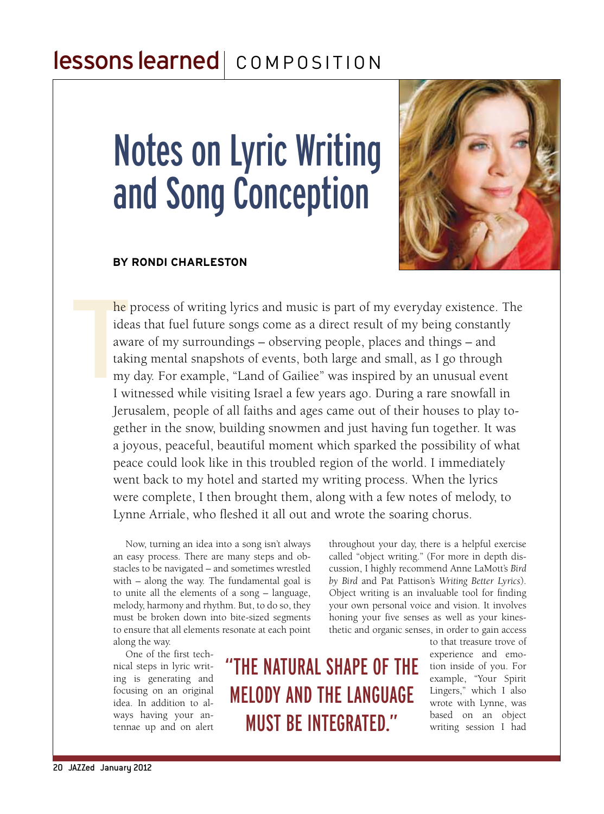## lessons learned | COMPOSITION

# Notes on Lyric Writing and Song Conception

#### **by Rondi Charleston**



**THE**<br>
idea<br>
awa<br>
taki<br>
my<br>
I w he process of writing lyrics and music is part of my everyday existence. The ideas that fuel future songs come as a direct result of my being constantly aware of my surroundings – observing people, places and things – and taking mental snapshots of events, both large and small, as I go through my day. For example, "Land of Gailiee" was inspired by an unusual event I witnessed while visiting Israel a few years ago. During a rare snowfall in Jerusalem, people of all faiths and ages came out of their houses to play together in the snow, building snowmen and just having fun together. It was a joyous, peaceful, beautiful moment which sparked the possibility of what peace could look like in this troubled region of the world. I immediately went back to my hotel and started my writing process. When the lyrics were complete, I then brought them, along with a few notes of melody, to Lynne Arriale, who fleshed it all out and wrote the soaring chorus.

Now, turning an idea into a song isn't always an easy process. There are many steps and obstacles to be navigated – and sometimes wrestled with – along the way. The fundamental goal is to unite all the elements of a song – language, melody, harmony and rhythm. But, to do so, they must be broken down into bite-sized segments to ensure that all elements resonate at each point along the way.

One of the first technical steps in lyric writing is generating and focusing on an original idea. In addition to always having your antennae up and on alert throughout your day, there is a helpful exercise called "object writing." (For more in depth discussion, I highly recommend Anne LaMott's *Bird by Bird* and Pat Pattison's *Writing Better Lyrics*). Object writing is an invaluable tool for finding your own personal voice and vision. It involves honing your five senses as well as your kinesthetic and organic senses, in order to gain access

"The natural shape of the melody and the language must be integrated."

to that treasure trove of experience and emotion inside of you. For example, "Your Spirit Lingers," which I also wrote with Lynne, was based on an object writing session I had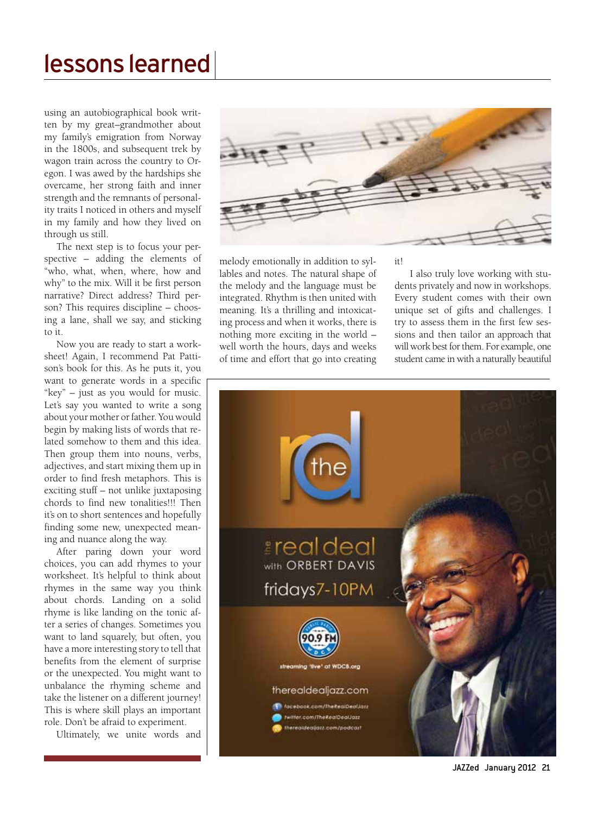### lessons learned

using an autobiographical book written by my great–grandmother about my family's emigration from Norway in the 1800s, and subsequent trek by wagon train across the country to Oregon. I was awed by the hardships she overcame, her strong faith and inner strength and the remnants of personality traits I noticed in others and myself in my family and how they lived on through us still.

The next step is to focus your perspective – adding the elements of "who, what, when, where, how and why" to the mix. Will it be first person narrative? Direct address? Third person? This requires discipline – choosing a lane, shall we say, and sticking to it.

Now you are ready to start a worksheet! Again, I recommend Pat Pattison's book for this. As he puts it, you want to generate words in a specific "key" – just as you would for music. Let's say you wanted to write a song about your mother or father. You would begin by making lists of words that related somehow to them and this idea. Then group them into nouns, verbs, adjectives, and start mixing them up in order to find fresh metaphors. This is exciting stuff – not unlike juxtaposing chords to find new tonalities!!! Then it's on to short sentences and hopefully finding some new, unexpected meaning and nuance along the way.

After paring down your word choices, you can add rhymes to your worksheet. It's helpful to think about rhymes in the same way you think about chords. Landing on a solid rhyme is like landing on the tonic after a series of changes. Sometimes you want to land squarely, but often, you have a more interesting story to tell that benefits from the element of surprise or the unexpected. You might want to unbalance the rhyming scheme and take the listener on a different journey! This is where skill plays an important role. Don't be afraid to experiment.

Ultimately, we unite words and



melody emotionally in addition to syllables and notes. The natural shape of the melody and the language must be integrated. Rhythm is then united with meaning. It's a thrilling and intoxicating process and when it works, there is nothing more exciting in the world – well worth the hours, days and weeks of time and effort that go into creating it!

 I also truly love working with students privately and now in workshops. Every student comes with their own unique set of gifts and challenges. I try to assess them in the first few sessions and then tailor an approach that will work best for them. For example, one student came in with a naturally beautiful